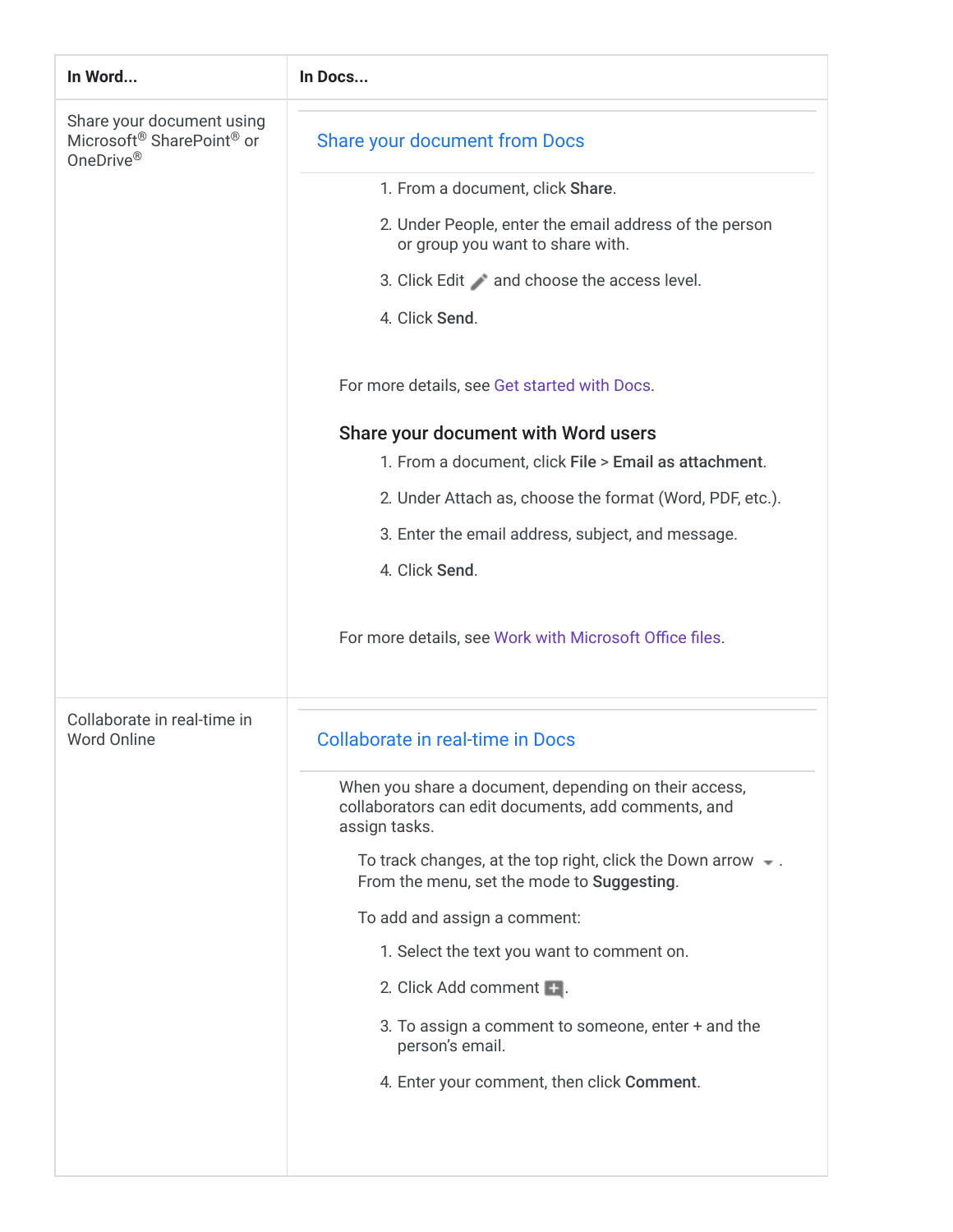| In Word                                                             | In Docs                                                                                                                       |
|---------------------------------------------------------------------|-------------------------------------------------------------------------------------------------------------------------------|
| Share your document using<br>Microsoft® SharePoint® or<br>OneDrive® | Share your document from Docs                                                                                                 |
|                                                                     | 1. From a document, click Share.                                                                                              |
|                                                                     | 2. Under People, enter the email address of the person<br>or group you want to share with.                                    |
|                                                                     | 3. Click Edit and choose the access level.                                                                                    |
|                                                                     | 4. Click Send.                                                                                                                |
|                                                                     | For more details, see Get started with Docs.                                                                                  |
|                                                                     | Share your document with Word users<br>1. From a document, click File > Email as attachment.                                  |
|                                                                     | 2. Under Attach as, choose the format (Word, PDF, etc.).                                                                      |
|                                                                     | 3. Enter the email address, subject, and message.                                                                             |
|                                                                     | 4. Click Send.                                                                                                                |
|                                                                     | For more details, see Work with Microsoft Office files.                                                                       |
| Collaborate in real-time in<br>Word Online                          | Collaborate in real-time in Docs                                                                                              |
|                                                                     | When you share a document, depending on their access,<br>collaborators can edit documents, add comments, and<br>assign tasks. |
|                                                                     | To track changes, at the top right, click the Down arrow $\sim$ .<br>From the menu, set the mode to Suggesting.               |
|                                                                     | To add and assign a comment:                                                                                                  |
|                                                                     | 1. Select the text you want to comment on.                                                                                    |
|                                                                     | 2. Click Add comment <b>+</b> .                                                                                               |
|                                                                     | 3. To assign a comment to someone, enter + and the<br>person's email.                                                         |
|                                                                     | 4. Enter your comment, then click Comment.                                                                                    |
|                                                                     |                                                                                                                               |
|                                                                     |                                                                                                                               |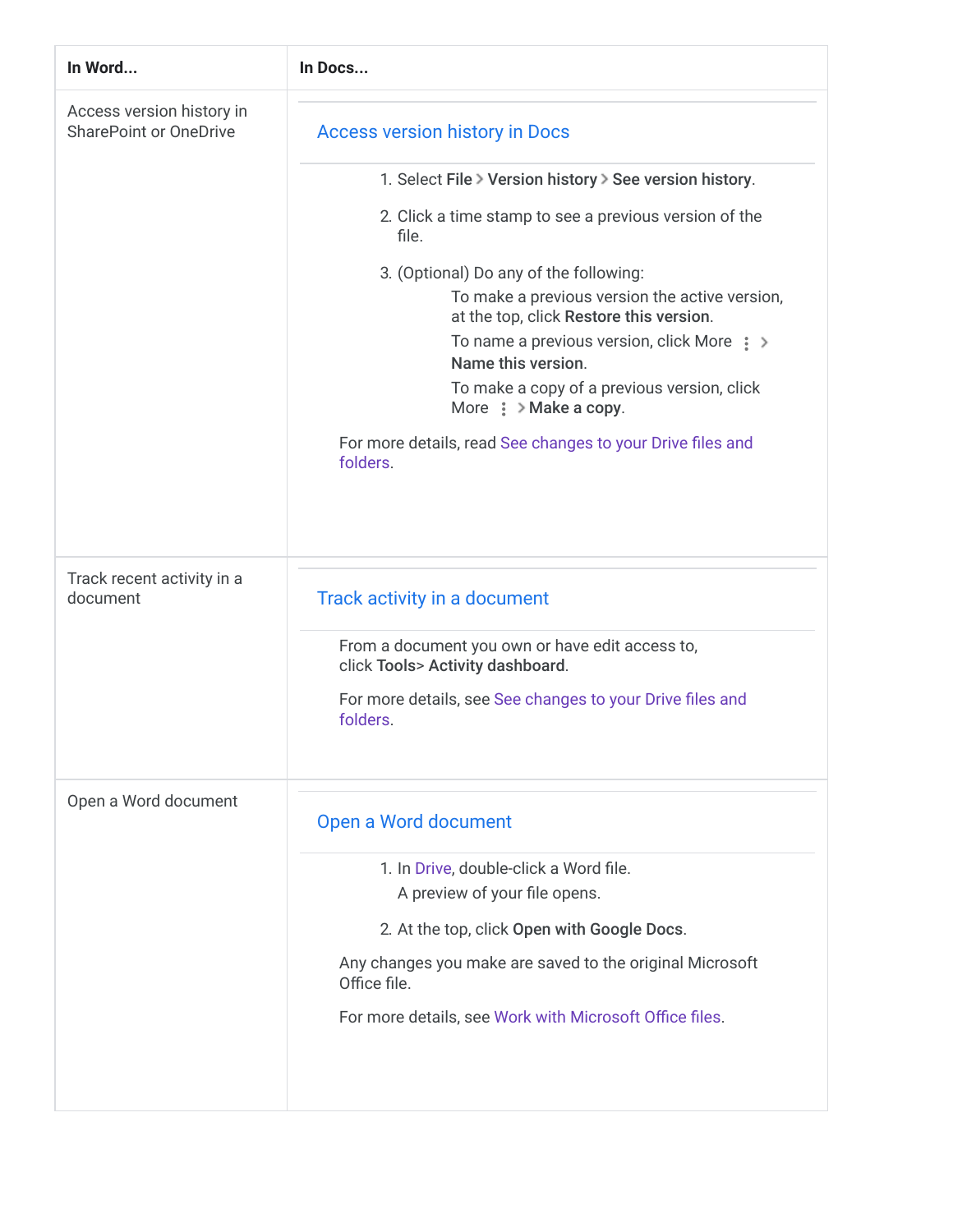| In Word                                                    | In Docs                                                                                   |
|------------------------------------------------------------|-------------------------------------------------------------------------------------------|
| Access version history in<br><b>SharePoint or OneDrive</b> | <b>Access version history in Docs</b>                                                     |
|                                                            | 1. Select File > Version history > See version history.                                   |
|                                                            | 2. Click a time stamp to see a previous version of the<br>file.                           |
|                                                            | 3. (Optional) Do any of the following:                                                    |
|                                                            | To make a previous version the active version,<br>at the top, click Restore this version. |
|                                                            | To name a previous version, click More $\Rightarrow$<br>Name this version.                |
|                                                            | To make a copy of a previous version, click<br>More $\frac{1}{2}$ > Make a copy.          |
|                                                            | For more details, read See changes to your Drive files and<br>folders.                    |
|                                                            |                                                                                           |
| Track recent activity in a<br>document                     | Track activity in a document                                                              |
|                                                            | From a document you own or have edit access to,<br>click Tools> Activity dashboard.       |
|                                                            | For more details, see See changes to your Drive files and<br>folders.                     |
| Open a Word document                                       | Open a Word document                                                                      |
|                                                            | 1. In Drive, double-click a Word file.<br>A preview of your file opens.                   |
|                                                            | 2. At the top, click Open with Google Docs.                                               |
|                                                            | Any changes you make are saved to the original Microsoft<br>Office file.                  |
|                                                            | For more details, see Work with Microsoft Office files.                                   |
|                                                            |                                                                                           |